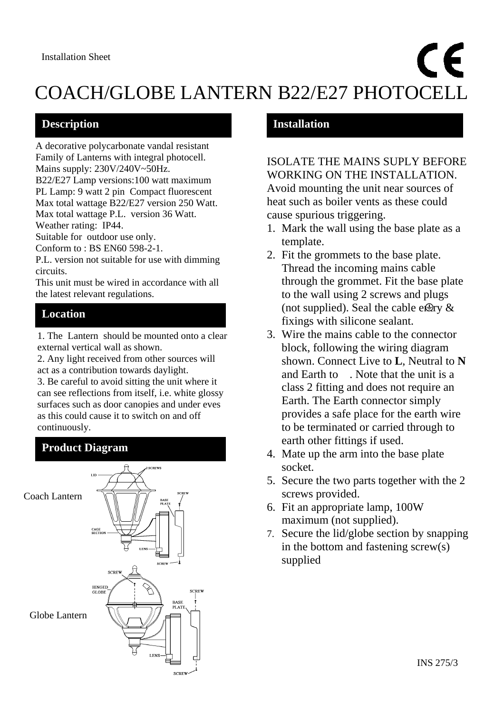# CE COACH/GLOBE LANTERN B22/E27 PHOTOCELL  $\frac{1}{2}$

### **Description**

A decorative polycarbonate vandal resistant Family of Lanterns with integral photocell. Mains supply: 230V/240V~50Hz.

B22/E27 Lamp versions:100 watt maximum PL Lamp: 9 watt 2 pin Compact fluorescent Max total wattage B22/E27 version 250 Watt. Max total wattage P.L. version 36 Watt.

Weather rating: IP44.

Suitable for outdoor use only.

Conform to : BS EN60 598-2-1.

P.L. version not suitable for use with dimming circuits.

This unit must be wired in accordance with all the latest relevant regulations.

# **Location**

1. The Lantern should be mounted onto a clear external vertical wall as shown.

2. Any light received from other sources will act as a contribution towards daylight.

3. Be careful to avoid sitting the unit where it can see reflections from itself, i.e. white glossy surfaces such as door canopies and under eves as this could cause it to switch on and off continuously.



# **Installation**

ISOLATE THE MAINS SUPLY BEFORE WORKING ON THE INSTALLATION. Avoid mounting the unit near sources of heat such as boiler vents as these could cause spurious triggering.

- 1. Mark the wall using the base plate as a template.
- 2. Fit the grommets to the base plate. Thread the incoming mains cable through the grommet. Fit the base plate to the wall using 2 screws and plugs (not supplied). Seal the cable e $\bigoplus$ ry & fixings with silicone sealant.
- 3. Wire the mains cable to the connector block, following the wiring diagram shown. Connect Live to **L**, Neutral to **N** and Earth to . Note that the unit is a class 2 fitting and does not require an Earth. The Earth connector simply provides a safe place for the earth wire to be terminated or carried through to earth other fittings if used.
- 4. Mate up the arm into the base plate socket.
- 5. Secure the two parts together with the 2 screws provided.
- 6. Fit an appropriate lamp, 100W maximum (not supplied).
- 7. Secure the lid/globe section by snapping in the bottom and fastening screw(s) supplied